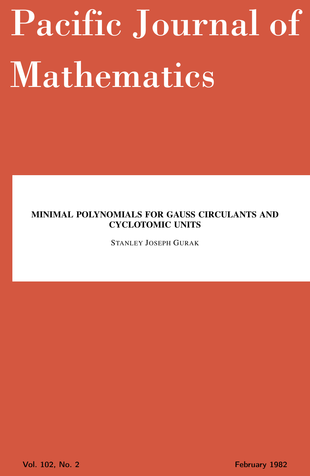# <span id="page-0-0"></span>Pacific Journal of Mathematics

# MINIMAL POLYNOMIALS FOR GAUSS CIRCULANTS AND CYCLOTOMIC UNITS

STANLEY JOSEPH GURAK

Vol. 102, No. 2 **February 1982**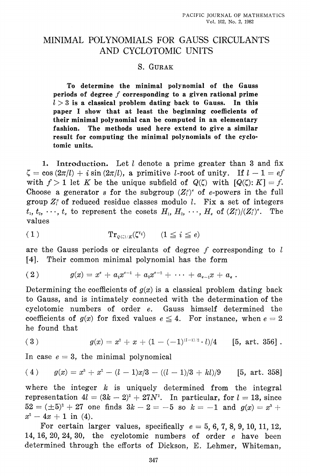# MINIMAL POLYNOMIALS FOR GAUSS CIRCULANTS AND CYCLOTOMIC UNITS

## S. GURAK

To determine the minimal polynomial of the Gauss periods of degree  $f$  corresponding to a given rational prime  $l > 3$  is a classical problem dating back to Gauss. In this paper I show that at least the beginning coefficients of their minimal polynomial can be computed in an elementary The methods used here extend to give a similar fashion. result for computing the minimal polynomials of the cyclotomic units.

1. Introduction. Let  $l$  denote a prime greater than 3 and fix  $\zeta = \cos(2\pi/l) + i \sin(2\pi/l)$ , a primitive l-root of unity. If  $l - 1 = ef$ with  $f > 1$  let K be the unique subfield of  $Q(\zeta)$  with  $[Q(\zeta):K] = f$ . Choose a generator s for the subgroup  $(Z_i^*)^e$  of e-powers in the full group  $Z_i^*$  of reduced residue classes modulo l. Fix a set of integers  $t_1, t_2, \cdots, t_e$  to represent the cosets  $H_1, H_2, \cdots, H_e$  of  $(Z_i^*)/(Z_i^*)^e$ . The values

$$
(1) \tTr_{Q(\zeta)/K}(\zeta^{t_i}) \t (1 \leq i \leq e)
$$

are the Gauss periods or circulants of degree  $f$  corresponding to  $l$ [4]. Their common minimal polynomial has the form

$$
(2) \t g(x) = x^e + a_1 x^{e-1} + a_2 x^{e-2} + \cdots + a_{e-1} x + a_e.
$$

Determining the coefficients of  $q(x)$  is a classical problem dating back to Gauss, and is intimately connected with the determination of the cyclotomic numbers of order  $e$ . Gauss himself determined the coefficients of  $g(x)$  for fixed values  $e \leq 4$ . For instance, when  $e = 2$ he found that

(3) 
$$
g(x) = x^2 + x + (1 - (-1)^{(l-1)/2} \cdot l)/4 \qquad [5, \text{ art. } 356].
$$

In case  $e = 3$ , the minimal polynomical

(4) 
$$
g(x) = x^3 + x^2 - (l-1)x/3 - ((l-1)/3 + kl)/9
$$
 [5, art. 358]

where the integer  $k$  is uniquely determined from the integral representation  $4l = (3k - 2)^2 + 27N^2$ . In particular, for  $l = 13$ , since  $52 = (\pm 5)^2 + 27$  one finds  $3k - 2 = -5$  so  $k = -1$  and  $g(x) = x^3 +$  $x^2-4x+1$  in (4).

For certain larger values, specifically  $e = 5, 6, 7, 8, 9, 10, 11, 12$ , 14, 16, 20, 24, 30, the cyclotomic numbers of order  $e$  have been determined through the efforts of Dickson, E. Lehmer, Whiteman,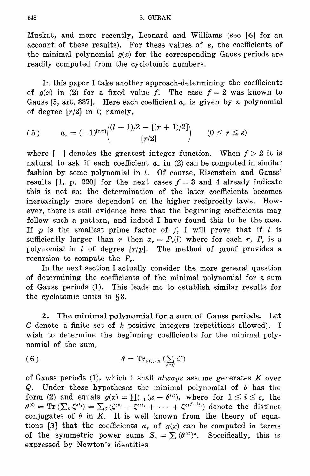Muskat, and more recently, Leonard and Williams (see [6] for an account of these results). For these values of e, the coefficients of the minimal polynomial  $g(x)$  for the corresponding Gauss periods are readily computed from the cyclotomic numbers.

In this paper I take another approach-determining the coefficients of  $g(x)$  in (2) for a fixed value f. The case  $f = 2$  was known to Gauss [5, art. 337]. Here each coefficient  $a<sub>r</sub>$  is given by a polynomial of degree  $\lceil r/2 \rceil$  in l; namely,

$$
( \, 5 \, ) \qquad \quad a_{r} = (-1)^{[r/2]} \binom{ (l-1)/2 - [(r+1)/2]}{[r/2]} \qquad \, (0 \leq r \leq e)
$$

where  $\lceil \cdot \rceil$  denotes the greatest integer function. When  $f > 2$  it is natural to ask if each coefficient  $a_r$  in (2) can be computed in similar fashion by some polynomial in l. Of course, Eisenstein and Gauss' results [1, p. 220] for the next cases  $f = 3$  and 4 already indicate this is not so; the determination of the later coefficients becomes increasingly more dependent on the higher reciprocity laws. However, there is still evidence here that the beginning coefficients may follow such a pattern, and indeed I have found this to be the case. If  $p$  is the smallest prime factor of  $f$ , I will prove that if  $l$  is sufficiently larger than r then  $a_r = P_r(l)$  where for each r,  $P_r$  is a polynomial in  $l$  of degree  $[r/p]$ . The method of proof provides a recursion to compute the  $P_{r}$ .

In the next section I actually consider the more general question of determining the coefficients of the minimal polynomial for a sum of Gauss periods (1). This leads me to establish similar results for the cyclotomic units in  $\S 3$ .

 $2.$ The minimal polynomial for a sum of Gauss periods. Let C denote a finite set of k positive integers (repetitions allowed). I wish to determine the beginning coefficients for the minimal polynomial of the sum,

$$
(6) \qquad \qquad \theta = \mathrm{Tr}_{\mathcal{Q}(\zeta)/K} \left( \sum_{c \in C} \zeta^c \right)
$$

of Gauss periods (1), which I shall always assume generates  $K$  over Q. Under these hypotheses the minimal polynomial of  $\theta$  has the form (2) and equals  $g(x) = \prod_{i=1}^{e} (x - \theta^{(i)})$ , where for  $1 \leq i \leq e$ , the  $\theta^{(i)} = \mathrm{Tr} \left( \sum_{c} \zeta^{ct_i} \right) = \sum_{c} \left( \zeta^{ct_i} + \zeta^{cst_i} + \cdots + \zeta^{cs^{f-1}t_i} \right)$  denote the distinct conjugates of  $\theta$  in K. It is well known from the theory of equations [3] that the coefficients  $a_r$  of  $g(x)$  can be computed in terms of the symmetric power sums  $S_n = \sum (\theta^{(i)})^n$ . Specifically, this is expressed by Newton's identities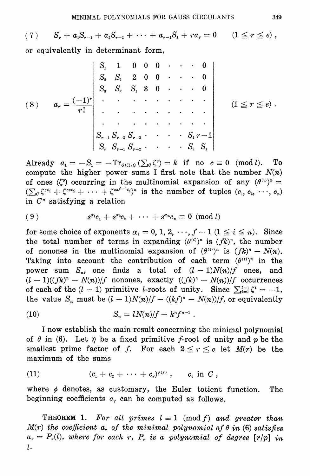$S_r + a_1 S_{r-1} + a_2 S_{r-2} + \cdots + a_{r-1} S_1 + ra_r = 0$   $(1 \leq r \leq e)$ ,  $(7)$ or equivalently in determinant form,

$$
(8) \quad a_{r} = \frac{(-1)^{r}}{r!} \begin{vmatrix} S_{1} & 1 & 0 & 0 & 0 & \cdots & 0 \\ S_{2} & S_{1} & 2 & 0 & 0 & \cdots & 0 \\ S_{3} & S_{2} & S_{1} & 3 & 0 & \cdots & 0 \\ \vdots & \vdots & \vdots & \ddots & \vdots & \vdots & \vdots \\ S_{r-1} & S_{r-2} & S_{r-3} & \cdots & S_{1} & r-1 \\ S_{r} & S_{r-1} & S_{r-2} & \cdots & S_{2} & S_{1} \end{vmatrix} \quad (1 \leq r \leq e).
$$

Already  $a_1 = -S_1 = -\mathrm{Tr}_{Q(\zeta)/Q}(\sum_{c} \zeta^c) = k$  if no  $c \equiv 0 \pmod{l}$ . To compute the higher power sums I first note that the number  $N(n)$ of ones  $(\zeta^0)$  occurring in the multinomial expansion of any  $(\theta^{(i)})^n =$  $(\sum_{c} \zeta^{ct_i} + \zeta^{cst_i} + \cdots + \zeta^{cs_f-1}t_i)^n$  is the number of tuples  $(c_1, c_2, \cdots, c_n)$ in  $C<sup>n</sup>$  satisfying a relation

$$
(9) \t s^{\alpha_1}c_1 + s^{\alpha_2}c_2 + \cdots + s^{\alpha_n}c_n \equiv 0 \pmod{l}
$$

for some choice of exponents  $\alpha_i = 0, 1, 2, \dots, f-1$   $(1 \le i \le n)$ . Since the total number of terms in expanding  $(\theta^{(i)})^n$  is  $(fk)^n$ , the number of nonones in the multinomial expansion of  $(\theta^{(i)})^n$  is  $(fk)^n - N(n)$ . Taking into account the contribution of each term  $(\theta^{(i)})^n$  in the power sum  $S_n$ , one finds a total of  $(l-1)N(n)/f$  ones, and  $(l-1)((fk)^n - N(n))/f$  nonones, exactly  $((fk)^n - N(n))/f$  occurrences of each of the  $(l-1)$  primitive *l*-roots of unity. Since  $\sum_{i=1}^{l-1} \zeta_i^i = -1$ , the value  $S_n$  must be  $(l-1)N(n)/f - (k f)^n - N(n)/f$ , or equivalently

$$
(10) \t S_n = lN(n)/f - k^n f^{n-1}
$$

I now establish the main result concerning the minimal polynomial of  $\theta$  in (6). Let  $\eta$  be a fixed primitive f-root of unity and  $p$  be the smallest prime factor of f. For each  $2 \le r \le e$  let  $M(r)$  be the maximum of the sums

(11) 
$$
(c_1 + c_2 + \cdots + c_r)^{\phi(f)}, \quad c_i \text{ in } C
$$

where  $\phi$  denotes, as customary, the Euler totient function. The beginning coefficients  $a_r$  can be computed as follows.

**THEOREM 1.** For all primes  $l \equiv 1 \pmod{f}$  and greater than  $M(r)$  the coefficient a, of the minimal polynomial of  $\theta$  in (6) satisfies  $a_r = P_r(l)$ , where for each r,  $P_r$  is a polynomial of degree  $\lceil r/p \rceil$  in  $l.$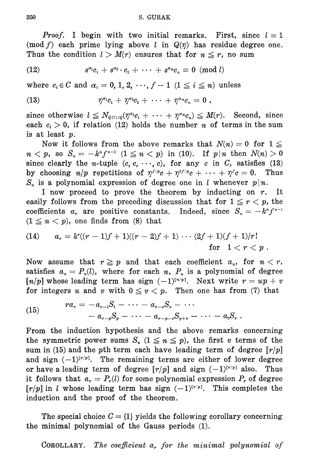*Proof.* I begin with two initial remarks. First, since  $l \equiv 1$ (mod f) each prime lying above l in  $Q(\eta)$  has residue degree one. Thus the condition  $l > M(r)$  ensures that for  $n \leq r$ , no sum

(12) 
$$
s^{\alpha_1}c_1 + s^{\alpha_2} \cdot c_2 + \cdots + s^{\alpha_n}c_n \equiv 0 \pmod{l}
$$

where  $c_i \in C$  and  $\alpha_i = 0, 1, 2, \dots, f-1$   $(1 \leq i \leq n)$  unless

(13) 
$$
\eta^{\alpha_1}c_1 + \eta^{\alpha_2}c_2 + \cdots + \eta^{\alpha_n}c_n = 0,
$$

since otherwise  $l \leq N_{Q(\eta)/Q}(\eta^{a_1}c_1 + \cdots + \eta^{a_n}c_n) \leq M(r)$ . Second, since each  $c_i > 0$ , if relation (12) holds the number *n* of terms in the sum is at least  $p$ .

Now it follows from the above remarks that  $N(n) = 0$  for  $1 \leq$  $n < p$ , so  $S_n = -k^n f^{n-1}$   $(1 \le n < p)$  in (10). If  $p | n$  then  $N(n) > 0$ since clearly the *n*-tuple  $(c, c, \dots, c)$ , for any *c* in *C*, satisfies (13) by choosing  $n/p$  repetitions of  $\eta^{f/p}c + \eta^{2f/p}c + \cdots + \eta^{f}c = 0$ . Thus  $S_n$  is a polynomial expression of degree one in l whenever  $p|n$ .

I now proceed to prove the theorem by inducting on r. It easily follows from the preceding discussion that for  $1 \le r < p$ , the coefficients  $a_r$  are positive constants. Indeed, since  $S_n = -k^n f^{n-1}$  $(1 \leq n < p)$ , one finds from (8) that

(14) 
$$
a_r = k^r((r-1)f+1)((r-2)f+1)\cdots(2f+1)(f+1)/r!
$$
  
for  $1 < r < p$ 

Now assume that  $r \geq p$  and that each coefficient  $a_n$ , for  $n < r$ , satisfies  $a_n = P_n(l)$ , where for each n,  $P_n$  is a polynomial of degree  $[n/p]$  whose leading term has sign  $(-1)^{[n/p]}$ . Next write  $r = up + v$ for integers u and v with  $0 \le v < p$ . Then one has from (7) that

(15) 
$$
ra_r = -a_{r-1}S_1 - \cdots - a_{r-r}S_r - \cdots -a_{r-p}S_p - \cdots - a_{r-p-r}S_{p+r} - \cdots - a_0S_r.
$$

From the induction hypothesis and the above remarks concerning the symmetric power sums  $S_n$   $(1 \le n \le p)$ , the first v terms of the sum in (15) and the pth term each have leading term of degree  $r/p$ and sign  $(-1)^{[r/p]}$ . The remaining terms are either of lower degree or have a leading term of degree  $\lceil r/p \rceil$  and sign  $(-1)^{\lfloor r/p \rfloor}$  also. Thus it follows that  $a_r = P_r(l)$  for some polynomial expression  $P_r$  of degree  $[r/p]$  in *l* whose leading term has sign  $(-1)^{[r/p]}$ . This completes the induction and the proof of the theorem.

The special choice  $C = \{1\}$  yields the following corollary concerning the minimal polynomial of the Gauss periods (1).

The coefficient  $a_r$ , for the minimal polynomial of COROLLARY.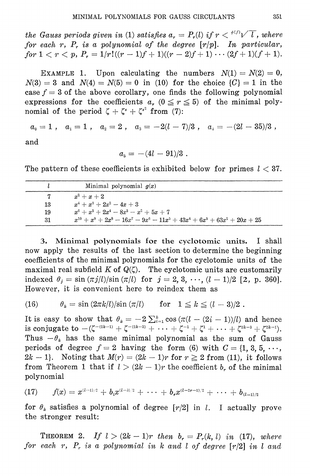the Gauss periods given in (1) satisfies  $a_r = P_r(l)$  if  $r < i^{(f)}\sqrt{l}$ , where for each r,  $P_r$  is a polynomial of the degree  $[r/p]$ . In particular, for  $1 < r < p$ ,  $P_r = 1/r!((r-1)f+1)((r-2)f+1)\cdots(2f+1)(f+1).$ 

EXAMPLE 1. Upon calculating the numbers  $N(1) = N(2) = 0$ ,  $N(3) = 3$  and  $N(4) = N(5) = 0$  in (10) for the choice  $\{C\} = 1$  in the case  $f = 3$  of the above corollary, one finds the following polynomial expressions for the coefficients  $a_r$  ( $0 \le r \le 5$ ) of the minimal polynomial of the period  $\zeta + \zeta^* + \zeta^{*^2}$  from (7):

$$
a_0 = 1
$$
,  $a_1 = 1$ ,  $a_2 = 2$ ,  $a_3 = -2(l-7)/3$ ,  $a_4 = -(2l-35)/3$ ,

and

 $a_{\rm s} = -(4l - 91)/3$ .

The pattern of these coefficients is exhibited below for primes  $l < 37$ .

|    | Minimal polynomial $q(x)$                                                      |
|----|--------------------------------------------------------------------------------|
|    | $x^2 + x + 2$                                                                  |
| 13 | $x^4 + x^3 + 2x^2 - 4x + 3$                                                    |
| 19 | $x^6 + x^5 + 2x^4 - 8x^3 - x^2 + 5x + 7$                                       |
| 31 | $x^{10} + x^9 + 2x^8 - 16x^7 - 9x^6 - 11x^5 + 43x^4 + 6x^3 + 63x^2 + 20x + 25$ |

3. Minimal polynomials for the cyclotomic units. I shall now apply the results of the last section to determine the beginning coefficients of the minimal polynomials for the cyclotomic units of the maximal real subfield  $K$  of  $Q(\zeta)$ . The cyclotomic units are customarily indexed  $\theta_i = \sin (\pi j/l)/\sin (\pi/l)$  for  $j = 2, 3, \dots, (l-1)/2$  [2, p. 360]. However, it is convenient here to reindex them as

(16) 
$$
\theta_k = \sin (2\pi k/l)/\sin (\pi/l) \quad \text{for} \quad 1 \leq k \leq (l-3)/2.
$$

It is easy to show that  $\theta_k = -2 \sum_{i=1}^k \cos (\pi (l - (2i - 1))/l)$  and hence is conjugate to  $-(\zeta^{-(2k-1)} + \zeta^{-(2k-3)} + \cdots + \zeta^{-1} + \zeta^1 + \cdots + \zeta^{2k-3} + \zeta^{2k-1}).$ Thus  $-\theta_k$  has the same minimal polynomial as the sum of Gauss periods of degree  $f = 2$  having the form (6) with  $C = \{1, 3, 5, \cdots,$  $2k-1$ . Noting that  $M(r) = (2k-1)r$  for  $r \ge 2$  from (11), it follows from Theorem 1 that if  $l > (2k - 1)r$  the coefficient b, of the minimal polynomial

$$
(17) \qquad f(x)=x^{(l-1)/2}+b_{1}x^{(l-3)/2}+\cdots+b_{r}x^{(l-2r-1)/2}+\cdots+b_{(l-1)/2}
$$

for  $\theta_k$  satisfies a polynomial of degree  $[r/2]$  in l. I actually prove the stronger result:

**THEOREM 2.** If  $l > (2k - 1)r$  then  $b_r = P_r(k, l)$  in (17), where for each  $r$ ,  $P_r$  is a polynomial in k and l of degree  $[r/2]$  in l and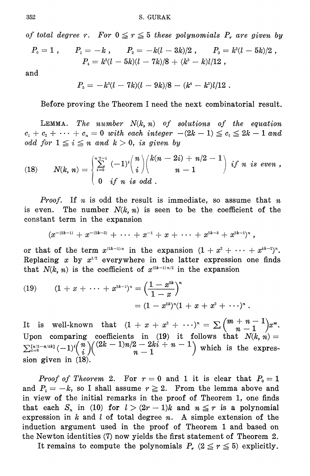of total degree r. For  $0 \le r \le 5$  these polynomials  $P_r$  are given by

$$
P_{\scriptscriptstyle 0} = 1 \; , \qquad P_{\scriptscriptstyle 1} = -k \; , \qquad P_{\scriptscriptstyle 2} = -k(l-3k)/2 \; , \qquad P_{\scriptscriptstyle 3} = k^{\scriptscriptstyle 2}(l-5k)/2 \; , \qquad P_{\scriptscriptstyle 4} = k^{\scriptscriptstyle 2}(l-5k)(l-7k)/8 \; + \; (k^{\scriptscriptstyle 3} - k)l/12 \; ,
$$

and

$$
P_5 = -k^3(l - 7k)(l - 9k)/8 - (k^4 - k^2)l/12.
$$

Before proving the Theorem I need the next combinatorial result.

LEMMA. The number  $N(k, n)$  of solutions of the equation  $c_1 + c_2 + \cdots + c_n = 0$  with each integer  $-(2k-1) \leq c_i \leq 2k-1$  and odd for  $1 \leq i \leq n$  and  $k > 0$ , is given by

(18) 
$$
N(k, n) = \begin{cases} \sum_{i=0}^{n/2-1} (-1)^i {n \choose i} {k(n-2i) + n/2 - 1 \choose n-1} & \text{if } n \text{ is even}, \\ 0 & \text{if } n \text{ is odd}. \end{cases}
$$

*Proof.* If *n* is odd the result is immediate, so assume that *n* is even. The number  $N(k, n)$  is seen to be the coefficient of the constant term in the expansion

$$
(x^{-(2k-1)}\,+\,x^{-(2k-3)}\,+\,\cdots\,+\,x^{-1} \,+\, x\,+\,\cdots\,+\,x^{2k-3}\,+\,x^{2k-1})^n~,\quad
$$

or that of the term  $x^{(2k-1)n}$  in the expansion  $(1+x^2+\cdots+x^{4k-2})^n$ . Replacing  $x$  by  $x^{1/2}$  everywhere in the latter expression one finds that  $N(k, n)$  is the coefficient of  $x^{(2k-1)n/2}$  in the expansion

(19) 
$$
(1 + x + \cdots + x^{2k-1})^n = \left(\frac{1 - x^{2k}}{1 - x}\right)^n
$$

$$
= (1 - x^{2k})^n (1 + x + x^2 + \cdots)^n.
$$

It is well-known that  $(1 + x + x^2 + \cdots)^n = \sum {m+n-1 \choose n-1} x^m$ .<br>Upon comparing coefficients in (19) it follows that  $N(k, n) = \sum_{i=0}^{\lfloor n/2 - n/4k \rfloor} (-1)^i {n \choose i} {2k - 1/n/2 - 2ki + n - 1 \choose n-1}$  which is the expression given in (18).

*Proof of Theorem 2.* For  $r = 0$  and 1 it is clear that  $P_0 = 1$ and  $P_1 = -k$ , so I shall assume  $r \geq 2$ . From the lemma above and in view of the initial remarks in the proof of Theorem 1, one finds that each  $S_n$  in (10) for  $l > (2r - 1)k$  and  $n \leq r$  is a polynomial expression in k and l of total degree  $n$ . A simple extension of the induction argument used in the proof of Theorem 1 and based on the Newton identities (7) now yields the first statement of Theorem 2.

It remains to compute the polynomials  $P_r$  ( $2 \le r \le 5$ ) explicitly.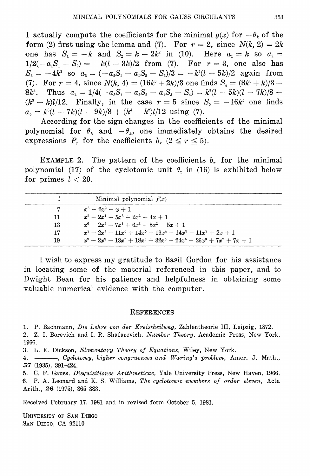I actually compute the coefficients for the minimal  $g(x)$  for  $-\theta_k$  of the form (2) first using the lemma and (7). For  $r = 2$ , since  $N(k, 2) = 2k$ one has  $S_1 = -k$  and  $S_2 = k - 2k^2$  in (10). Here  $a_1 = k$  so  $a_2 =$  $1/2(-a_1S_1-S_2) = -k(l-3k)/2$  from (7). For  $r=3$ , one also has  $S_3 = -4k^3$  so  $a_3 = (-a_2S_1 - a_1S_2 - S_3)/3 = -k^2(l - 5k)/2$  again from (7). For  $r = 4$ , since  $N(k, 4) = (16k^3 + 2k)/3$  one finds  $S_4 = (8k^3 + k)/3$ Thus  $a_4 = 1/4(-a_3S_1 - a_2S_2 - a_1S_3 - S_4) = k^2(l - 5k)(l - 7k)/8 +$  $8k^4$ .  $(k^3 - k)l/12$ . Finally, in the case  $r = 5$  since  $S_5 = -16k^5$  one finds  $a_{5} = k^{3}(l - 7k)(l - 9k)/8 + (k^{4} - k^{2})l/12$  using (7).

According for the sign changes in the coefficients of the minimal polynomial for  $\theta_k$  and  $-\theta_k$ , one immediately obtains the desired expressions  $P_r$  for the coefficients  $b_r$  ( $2 \le r \le 5$ ).

EXAMPLE 2. The pattern of the coefficients  $b<sub>r</sub>$  for the minimal polynomial (17) of the cyclotomic unit  $\theta_2$  in (16) is exhibited below for primes  $l < 20$ .

|    | Minimal polynomial $f(x)$                          |
|----|----------------------------------------------------|
|    | $x^3 - 2x^2 - x + 1$                               |
| 11 | $x^5 - 2x^4 - 5x^3 + 2x^2 + 4x + 1$                |
| 13 | $x^6 - 2x^5 - 7x^4 + 6x^3 + 5x^2 - 5x + 1$         |
| 17 | $x^3-2x^7-11x^6+14x^5+19x^4-14x^3-11x^2+2x+1$      |
| 19 | $x^9-2x^3-13x^7+18x^6+32x^5-24x^4-26x^3+7x^2+7x+1$ |

I wish to express my gratitude to Basil Gordon for his assistance in locating some of the material referenced in this paper, and to Dwight Bean for his patience and helpfulness in obtaining some valuable numerical evidence with the computer.

### REFERENCES

1. P. Bachmann, Die Lehre von der Kreistheilung, Zahlentheorie III, Leipzig, 1872.

2. Z. I. Borevich and I. R. Shafarevich, Number Theory, Academic Press, New York, 1966.

3. L. E. Dickson, Elementary Theory of Equations, Wiley, New York.

4. - Cyclotomy, higher congruences and Waring's problem, Amer. J. Math., 57 (1935), 391-424.

5. C. F. Gauss, Disquisitiones Arithmeticae, Yale University Press, New Haven, 1966. 6. P. A. Leonard and K. S. Williams, The cyclotomic numbers of order eleven, Acta Arith., 26 (1975), 365-383.

Received February 17, 1981 and in revised form October 5, 1981.

UNIVERSITY OF SAN DIEGO SAN DIEGO, CA 92110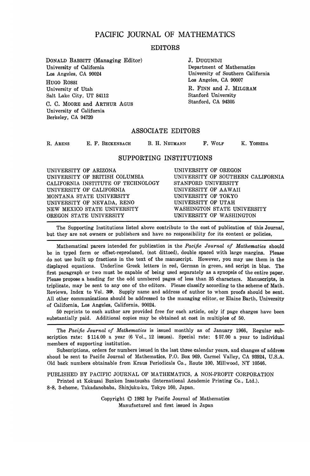## PACIFIC JOURNAL OF MATHEMATICS

### **EDITORS**

DONALD BABBITT (Managing Editor) University of California Los Angeles, CA 90024 HUGO ROSSI University of Utah Salt Lake City, UT 84112 C. C. MOORE and ARTHUR AGUS University of California Berkeley, CA 94720

J. DUGUNDJI Department of Mathematics University of Southern California Los Angeles, CA 90007 R. FINN and J. MILGRAM Stanford University Stanford, CA 94305

## **ASSOCIATE EDITORS**

| B. H. NEUMANN<br>E. F. BECKENBACH<br>R. ARENS | F. WOLF<br>K. YOSHIDA |
|-----------------------------------------------|-----------------------|
|-----------------------------------------------|-----------------------|

#### **SUPPORTING INSTITUTIONS**

The Supporting Institutions listed above contribute to the cost of publication of this Journal, but they are not owners or publishers and have no responsibility for its content or policies,

Mathematical parers intended for publication in the *Pacific Journal of Mathematics* should be in typed form or offset-reproduced, (not dittoed), double spaced with large margins. Please do not use built up fractions in the text of the manuscript. However, you may use them in the displayed equations. Underline Greek letters in red, German in green, and script in blue. The first paragraph or two must be capable of being used separately as a synopsis of the entire paper. Please propose a heading for the odd unmbered pages of less than 35 characters. Manuscripts, in triplicate, may be sent to any one of the editors. Please classify according to the scheme of Math. Reviews, Index to Vol. 39. Supply name and address of author to whom proofs should be sent. All other communications should be addressed to the managing editor, or Elaine Barth, University of California, Los Angeles, California, 90024.

50 reprints to each author are provided free for each article, only if page charges have been substantially paid. Additional copies may be obtained at cost in multiples of 50.

The *Pacific Journal of Mathematics* is issued monthly as of January 1966, Regular subscription rate: \$114.00 a year (6 Vol., 12 issues). Special rate: \$57.00 a year to individual members of supporting institution.

Subscriptions, orders for numbers issued in the last three calendar years, and changes of address shoud be sent to Pacific Journal of Mathematics, P.O. Box 969, Carmel Valley, CA 93924, U.S.A. Old back numbers obtainable from Kraus Periodicals Co., Route 100, Millwood, NY 10546.

PUBLISHED BY PACIFIC JOURNAL OF MATHEMATICS, A NON-PROFIT CORPORATION

Printed at Kokusai Bunken Insatsusha (International Academic Printing Co., Ltd.). 8-8, 3-chome, Takadanobaba, Shinjuku-ku, Tokyo 160, Japan.

> Copyright © 1982 by Pacific Journal of Mathematics Manufactured and first issued in Japan